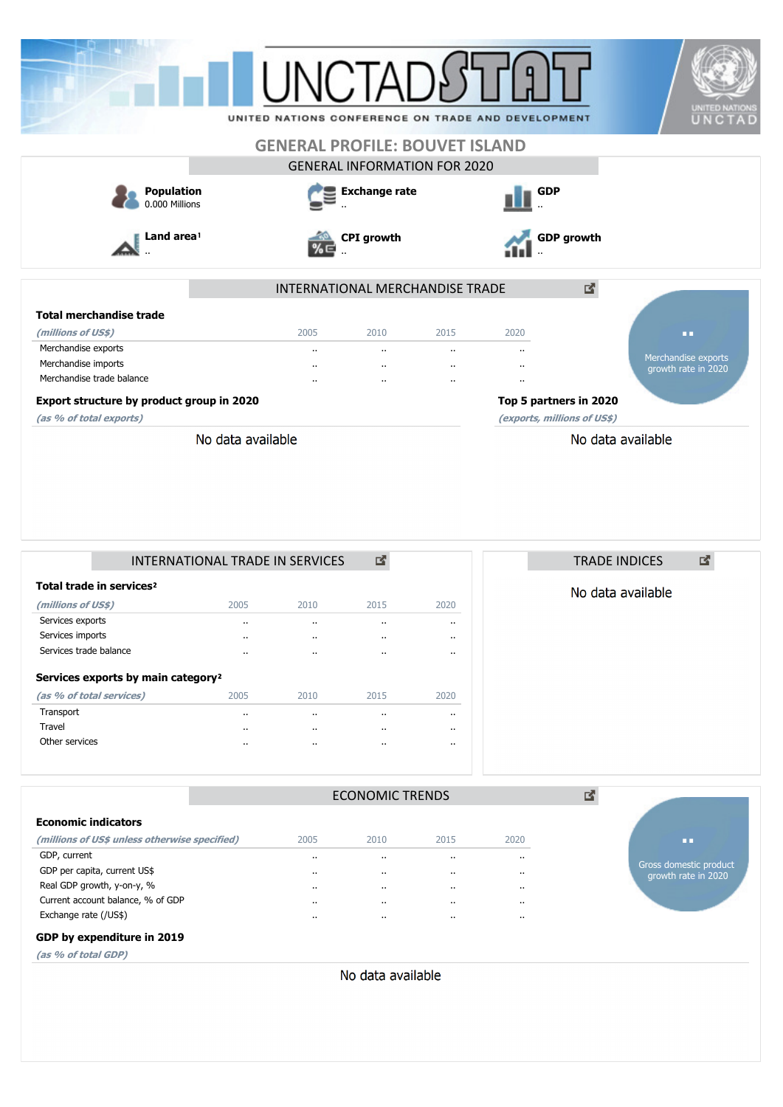|                                           | UNITED NATIONS CONFERENCE ON TRADE AND DEVELOPMENT |                                     |                      |                             |                   | <b>UNITED NATIONS</b><br>UNCTAD |
|-------------------------------------------|----------------------------------------------------|-------------------------------------|----------------------|-----------------------------|-------------------|---------------------------------|
|                                           | <b>GENERAL PROFILE: BOUVET ISLAND</b>              |                                     |                      |                             |                   |                                 |
|                                           |                                                    | <b>GENERAL INFORMATION FOR 2020</b> |                      |                             |                   |                                 |
| <b>Population</b><br>0.000 Millions       |                                                    | <b>Exchange rate</b>                |                      | <b>GDP</b>                  |                   |                                 |
| Land area <sup>1</sup>                    | %∈                                                 | <b>CPI</b> growth                   |                      |                             | <b>GDP</b> growth |                                 |
|                                           |                                                    | INTERNATIONAL MERCHANDISE TRADE     |                      |                             | 國                 |                                 |
| <b>Total merchandise trade</b>            |                                                    |                                     |                      |                             |                   |                                 |
| (millions of US\$)                        | 2005                                               | 2010                                | 2015                 | 2020                        |                   | œ                               |
| Merchandise exports                       | $\ddot{\phantom{a}}$                               | $\ddot{\phantom{a}}$                | $\cdots$             |                             |                   | Merchandise exports             |
| Merchandise imports                       | $\ddot{\phantom{a}}$                               |                                     | $\ddot{\phantom{a}}$ |                             |                   | growth rate in 2020             |
| Merchandise trade balance                 | $\ddot{\phantom{a}}$                               | $\ddot{\phantom{a}}$                | $\ddot{\phantom{a}}$ | $\ddot{\phantom{0}}$        |                   |                                 |
| Export structure by product group in 2020 |                                                    |                                     |                      | Top 5 partners in 2020      |                   |                                 |
| (as % of total exports)                   |                                                    |                                     |                      | (exports, millions of US\$) |                   |                                 |
| No data available                         |                                                    |                                     |                      |                             | No data available |                                 |

|                                                | INTERNATIONAL TRADE IN SERVICES |      |                      |           |      |  |  |  |
|------------------------------------------------|---------------------------------|------|----------------------|-----------|------|--|--|--|
| Total trade in services <sup>2</sup>           |                                 |      |                      |           |      |  |  |  |
| (millions of US\$)                             |                                 | 2005 | 2010                 | 2015      | 2020 |  |  |  |
| Services exports                               |                                 |      | $\ddot{\phantom{a}}$ | $\cdot$   |      |  |  |  |
| Services imports                               |                                 |      | $\cdot$ .            | $\cdot$   |      |  |  |  |
| Services trade balance                         |                                 |      | $\cdot$ .            | $\cdot$ . |      |  |  |  |
| Services exports by main category <sup>2</sup> |                                 |      |                      |           |      |  |  |  |
|                                                | (as % of total services)        | 2005 | 2010                 | 2015      | 2020 |  |  |  |
| Transport                                      |                                 |      | $\ddot{\phantom{a}}$ | $\cdot$ . |      |  |  |  |
| Travel                                         |                                 |      | $\ddot{\phantom{a}}$ | $\cdot$ . |      |  |  |  |
| Other services                                 |                                 |      | $\ddot{\phantom{a}}$ | $\cdot$ . |      |  |  |  |



|                                                   |          | <b>ECONOMIC TRENDS</b> |           |           | 啓 |                                               |
|---------------------------------------------------|----------|------------------------|-----------|-----------|---|-----------------------------------------------|
| <b>Economic indicators</b>                        |          |                        |           |           |   |                                               |
| (millions of US\$ unless otherwise specified)     | 2005     | 2010                   | 2015      | 2020      |   | m                                             |
| GDP, current                                      |          | $\cdots$               | $\cdot$   |           |   |                                               |
| GDP per capita, current US\$                      | $\cdots$ | $\cdots$               | $\cdot$ . |           |   | Gross domestic product<br>growth rate in 2020 |
| Real GDP growth, y-on-y, %                        |          | $\cdots$               | $\cdots$  |           |   |                                               |
| Current account balance, % of GDP                 |          | $\cdots$               | $\cdot$ . |           |   |                                               |
| Exchange rate (/US\$)                             |          | $\cdots$               | $\cdots$  | $\cdot$ . |   |                                               |
| GDP by expenditure in 2019                        |          |                        |           |           |   |                                               |
| $(a \circ a) \circ (b \circ b) \circ (c \circ b)$ |          |                        |           |           |   |                                               |

**(as % of total GDP)**

No data available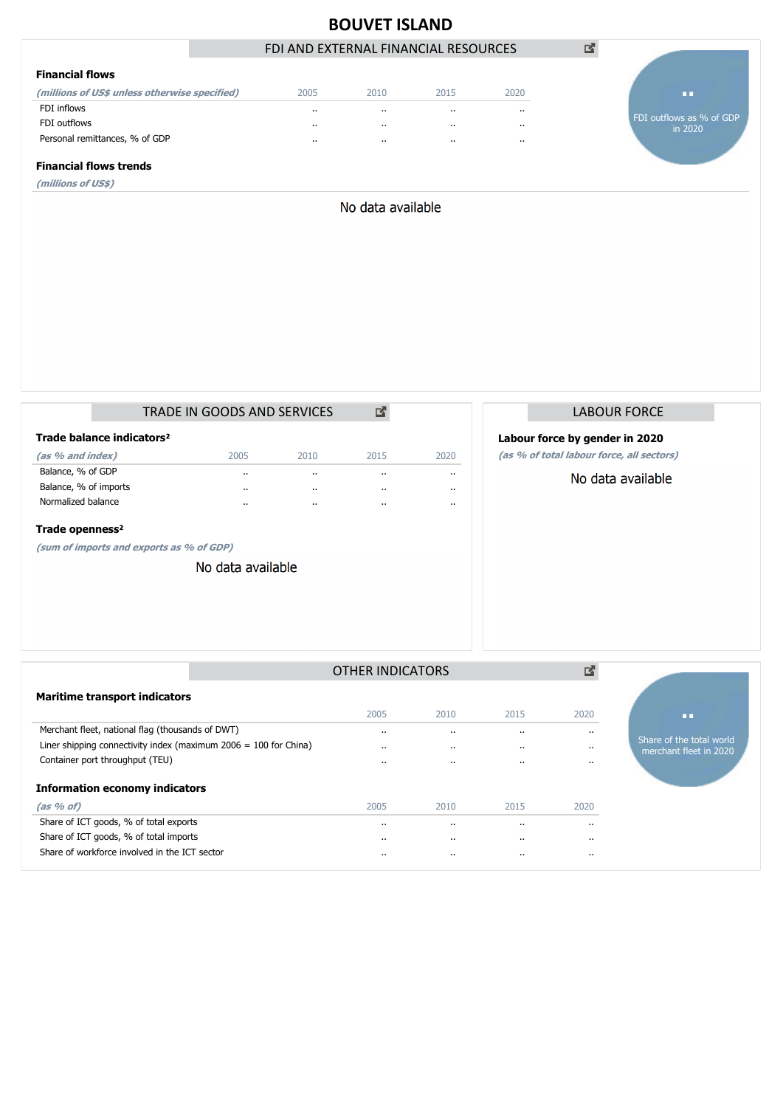

No data available

|                             |                                       | TRADE IN GOODS AND SERVICES |         |           |           |  |  |
|-----------------------------|---------------------------------------|-----------------------------|---------|-----------|-----------|--|--|
|                             | Trade balance indicators <sup>2</sup> |                             |         |           |           |  |  |
| (as % and index)            |                                       | 2005                        | 2010    | 2015      | 2020      |  |  |
| Balance, % of GDP           |                                       | $\cdot$ .                   | $\cdot$ | $\cdot$ . | $\cdot$ . |  |  |
| Balance, % of imports       |                                       | $\cdot$ .                   | $\cdot$ | $\cdot$ . | $\cdot$ . |  |  |
| Normalized balance          |                                       | $\cdot$ .                   | $\cdot$ | $\cdot$ . |           |  |  |
| Trade openness <sup>2</sup> |                                       |                             |         |           |           |  |  |

**(sum of imports and exports as % of GDP)**

No data available

| LABOUR FORCE |
|--------------|
|              |

## **Labour force by gender in 2020**

**(as % of total labour force, all sectors)**

No data available

|                                                                    | OTHER INDICATORS |                      |           | 酪         |                                                    |
|--------------------------------------------------------------------|------------------|----------------------|-----------|-----------|----------------------------------------------------|
| <b>Maritime transport indicators</b>                               |                  |                      |           |           |                                                    |
|                                                                    | 2005             | 2010                 | 2015      | 2020      | ПD                                                 |
| Merchant fleet, national flag (thousands of DWT)                   |                  | $\cdot$              | $\cdot$ . | $\cdots$  |                                                    |
| Liner shipping connectivity index (maximum $2006 = 100$ for China) | $\cdot$ .        | $\cdots$             |           | $\cdots$  | Share of the total world<br>merchant fleet in 2020 |
| Container port throughput (TEU)                                    | $\cdot$ .        | $\ddot{\phantom{0}}$ | $\cdot$ . | $\cdot$ . |                                                    |
| <b>Information economy indicators</b>                              |                  |                      |           |           |                                                    |
| $(as % of)$                                                        | 2005             | 2010                 | 2015      | 2020      |                                                    |
| Share of ICT goods, % of total exports                             |                  | $\cdots$             | $\cdot$ . | $\cdots$  |                                                    |
| Share of ICT goods, % of total imports                             | $\cdot$ .        | $\cdots$             |           | $\cdots$  |                                                    |
| Share of workforce involved in the ICT sector                      |                  | $\cdots$             | $\cdot$ . | $\cdot$ . |                                                    |